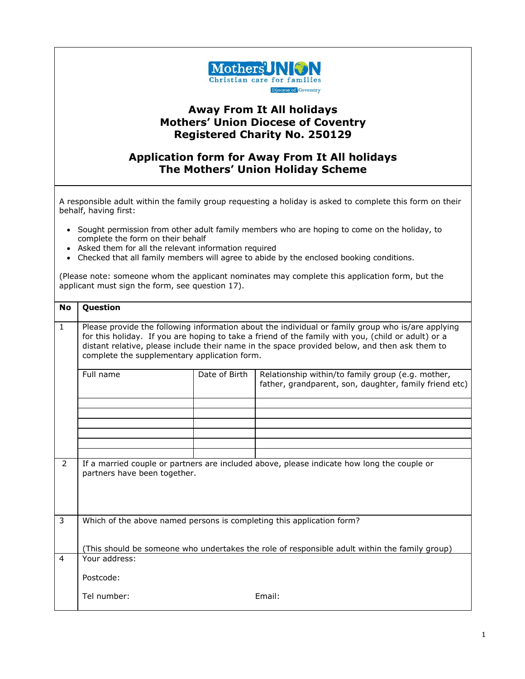

## **Away From It All holidays Mothers' Union Diocese of Coventry Registered Charity No. 250129**

## **Application form for Away From It All holidays The Mothers' Union Holiday Scheme**

A responsible adult within the family group requesting a holiday is asked to complete this form on their behalf, having first:

- Sought permission from other adult family members who are hoping to come on the holiday, to complete the form on their behalf
- Asked them for all the relevant information required
- Checked that all family members will agree to abide by the enclosed booking conditions.

(Please note: someone whom the applicant nominates may complete this application form, but the applicant must sign the form, see question 17).

| <b>No</b>    | Question                                                                                                                                                                                                                                                                                                                                                 |               |                                                                                                             |  |  |
|--------------|----------------------------------------------------------------------------------------------------------------------------------------------------------------------------------------------------------------------------------------------------------------------------------------------------------------------------------------------------------|---------------|-------------------------------------------------------------------------------------------------------------|--|--|
| $\mathbf{1}$ | Please provide the following information about the individual or family group who is/are applying<br>for this holiday. If you are hoping to take a friend of the family with you, (child or adult) or a<br>distant relative, please include their name in the space provided below, and then ask them to<br>complete the supplementary application form. |               |                                                                                                             |  |  |
|              | Full name                                                                                                                                                                                                                                                                                                                                                | Date of Birth | Relationship within/to family group (e.g. mother,<br>father, grandparent, son, daughter, family friend etc) |  |  |
|              |                                                                                                                                                                                                                                                                                                                                                          |               |                                                                                                             |  |  |
|              |                                                                                                                                                                                                                                                                                                                                                          |               |                                                                                                             |  |  |
|              |                                                                                                                                                                                                                                                                                                                                                          |               |                                                                                                             |  |  |
|              |                                                                                                                                                                                                                                                                                                                                                          |               |                                                                                                             |  |  |
| 2            | partners have been together.                                                                                                                                                                                                                                                                                                                             |               | If a married couple or partners are included above, please indicate how long the couple or                  |  |  |
| 3            | Which of the above named persons is completing this application form?                                                                                                                                                                                                                                                                                    |               |                                                                                                             |  |  |
|              |                                                                                                                                                                                                                                                                                                                                                          |               | (This should be someone who undertakes the role of responsible adult within the family group)               |  |  |
| 4            | Your address:                                                                                                                                                                                                                                                                                                                                            |               |                                                                                                             |  |  |
|              | Postcode:                                                                                                                                                                                                                                                                                                                                                |               |                                                                                                             |  |  |
|              | Tel number:                                                                                                                                                                                                                                                                                                                                              |               | Email:                                                                                                      |  |  |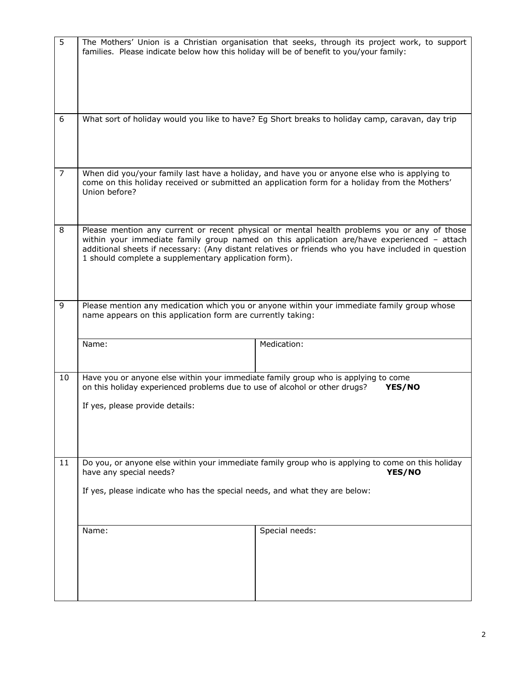| 5              | families. Please indicate below how this holiday will be of benefit to you/your family:                                                                                                                               | The Mothers' Union is a Christian organisation that seeks, through its project work, to support                                                                                                                                                                                                  |  |  |
|----------------|-----------------------------------------------------------------------------------------------------------------------------------------------------------------------------------------------------------------------|--------------------------------------------------------------------------------------------------------------------------------------------------------------------------------------------------------------------------------------------------------------------------------------------------|--|--|
| 6              | What sort of holiday would you like to have? Eg Short breaks to holiday camp, caravan, day trip                                                                                                                       |                                                                                                                                                                                                                                                                                                  |  |  |
| $\overline{7}$ | When did you/your family last have a holiday, and have you or anyone else who is applying to<br>come on this holiday received or submitted an application form for a holiday from the Mothers'<br>Union before?       |                                                                                                                                                                                                                                                                                                  |  |  |
| 8              | 1 should complete a supplementary application form).                                                                                                                                                                  | Please mention any current or recent physical or mental health problems you or any of those<br>within your immediate family group named on this application are/have experienced - attach<br>additional sheets if necessary: (Any distant relatives or friends who you have included in question |  |  |
| 9              | Please mention any medication which you or anyone within your immediate family group whose<br>name appears on this application form are currently taking:                                                             |                                                                                                                                                                                                                                                                                                  |  |  |
|                | Name:                                                                                                                                                                                                                 | Medication:                                                                                                                                                                                                                                                                                      |  |  |
| 10             | Have you or anyone else within your immediate family group who is applying to come<br>on this holiday experienced problems due to use of alcohol or other drugs?<br>YES/NO<br>If yes, please provide details:         |                                                                                                                                                                                                                                                                                                  |  |  |
| 11             | Do you, or anyone else within your immediate family group who is applying to come on this holiday<br>have any special needs?<br>YES/NO<br>If yes, please indicate who has the special needs, and what they are below: |                                                                                                                                                                                                                                                                                                  |  |  |
|                |                                                                                                                                                                                                                       |                                                                                                                                                                                                                                                                                                  |  |  |
|                | Name:                                                                                                                                                                                                                 | Special needs:                                                                                                                                                                                                                                                                                   |  |  |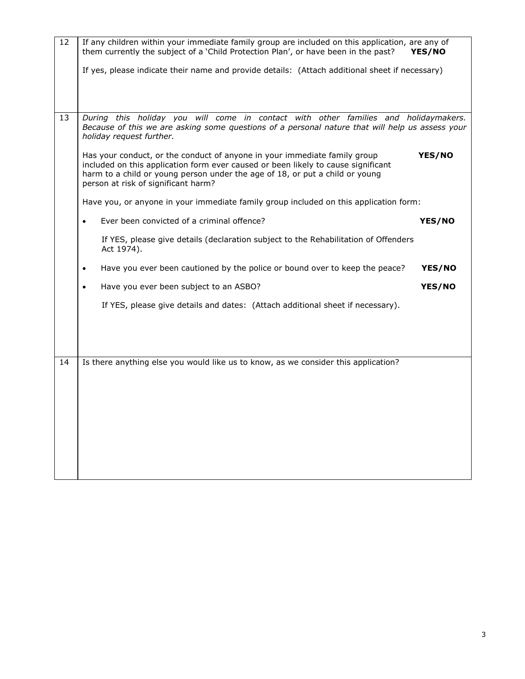| 12 | If any children within your immediate family group are included on this application, are any of<br>them currently the subject of a 'Child Protection Plan', or have been in the past?<br>YES/NO                                                                                                 |  |  |  |
|----|-------------------------------------------------------------------------------------------------------------------------------------------------------------------------------------------------------------------------------------------------------------------------------------------------|--|--|--|
|    | If yes, please indicate their name and provide details: (Attach additional sheet if necessary)                                                                                                                                                                                                  |  |  |  |
| 13 | During this holiday you will come in contact with other families and holidaymakers.<br>Because of this we are asking some questions of a personal nature that will help us assess your<br>holiday request further.                                                                              |  |  |  |
|    | Has your conduct, or the conduct of anyone in your immediate family group<br>YES/NO<br>included on this application form ever caused or been likely to cause significant<br>harm to a child or young person under the age of 18, or put a child or young<br>person at risk of significant harm? |  |  |  |
|    | Have you, or anyone in your immediate family group included on this application form:                                                                                                                                                                                                           |  |  |  |
|    | Ever been convicted of a criminal offence?<br><b>YES/NO</b><br>$\bullet$                                                                                                                                                                                                                        |  |  |  |
|    | If YES, please give details (declaration subject to the Rehabilitation of Offenders<br>Act 1974).                                                                                                                                                                                               |  |  |  |
|    | Have you ever been cautioned by the police or bound over to keep the peace?<br>YES/NO<br>$\bullet$                                                                                                                                                                                              |  |  |  |
|    | Have you ever been subject to an ASBO?<br>YES/NO<br>$\bullet$                                                                                                                                                                                                                                   |  |  |  |
|    | If YES, please give details and dates: (Attach additional sheet if necessary).                                                                                                                                                                                                                  |  |  |  |
|    |                                                                                                                                                                                                                                                                                                 |  |  |  |
| 14 | Is there anything else you would like us to know, as we consider this application?                                                                                                                                                                                                              |  |  |  |
|    |                                                                                                                                                                                                                                                                                                 |  |  |  |
|    |                                                                                                                                                                                                                                                                                                 |  |  |  |
|    |                                                                                                                                                                                                                                                                                                 |  |  |  |
|    |                                                                                                                                                                                                                                                                                                 |  |  |  |
|    |                                                                                                                                                                                                                                                                                                 |  |  |  |
|    |                                                                                                                                                                                                                                                                                                 |  |  |  |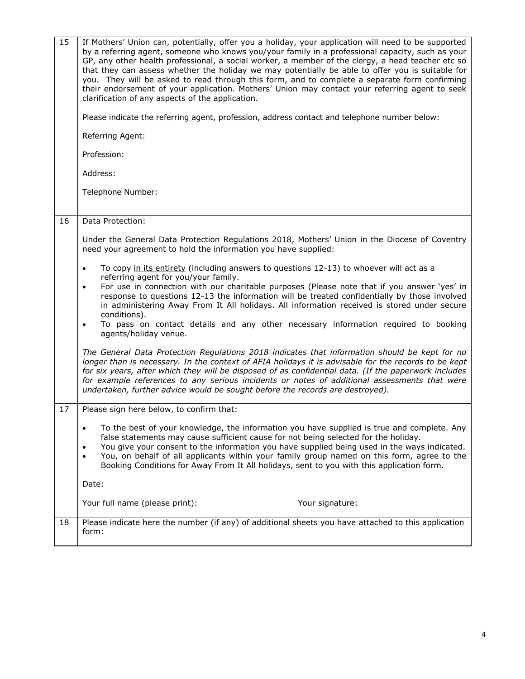| 15 | If Mothers' Union can, potentially, offer you a holiday, your application will need to be supported<br>by a referring agent, someone who knows you/your family in a professional capacity, such as your<br>GP, any other health professional, a social worker, a member of the clergy, a head teacher etc so<br>that they can assess whether the holiday we may potentially be able to offer you is suitable for<br>you. They will be asked to read through this form, and to complete a separate form confirming<br>their endorsement of your application. Mothers' Union may contact your referring agent to seek<br>clarification of any aspects of the application. |
|----|-------------------------------------------------------------------------------------------------------------------------------------------------------------------------------------------------------------------------------------------------------------------------------------------------------------------------------------------------------------------------------------------------------------------------------------------------------------------------------------------------------------------------------------------------------------------------------------------------------------------------------------------------------------------------|
|    | Please indicate the referring agent, profession, address contact and telephone number below:                                                                                                                                                                                                                                                                                                                                                                                                                                                                                                                                                                            |
|    | Referring Agent:                                                                                                                                                                                                                                                                                                                                                                                                                                                                                                                                                                                                                                                        |
|    | Profession:                                                                                                                                                                                                                                                                                                                                                                                                                                                                                                                                                                                                                                                             |
|    | Address:                                                                                                                                                                                                                                                                                                                                                                                                                                                                                                                                                                                                                                                                |
|    | Telephone Number:                                                                                                                                                                                                                                                                                                                                                                                                                                                                                                                                                                                                                                                       |
| 16 | Data Protection:                                                                                                                                                                                                                                                                                                                                                                                                                                                                                                                                                                                                                                                        |
|    |                                                                                                                                                                                                                                                                                                                                                                                                                                                                                                                                                                                                                                                                         |
|    | Under the General Data Protection Regulations 2018, Mothers' Union in the Diocese of Coventry<br>need your agreement to hold the information you have supplied:                                                                                                                                                                                                                                                                                                                                                                                                                                                                                                         |
|    | To copy in its entirety (including answers to questions 12-13) to whoever will act as a<br>$\bullet$<br>referring agent for you/your family.                                                                                                                                                                                                                                                                                                                                                                                                                                                                                                                            |
|    | For use in connection with our charitable purposes (Please note that if you answer 'yes' in<br>$\bullet$<br>response to questions 12-13 the information will be treated confidentially by those involved<br>in administering Away From It All holidays. All information received is stored under secure<br>conditions).<br>To pass on contact details and any other necessary information required to booking<br>$\bullet$<br>agents/holiday venue.                                                                                                                                                                                                                     |
|    | The General Data Protection Regulations 2018 indicates that information should be kept for no<br>longer than is necessary. In the context of AFIA holidays it is advisable for the records to be kept<br>for six years, after which they will be disposed of as confidential data. (If the paperwork includes<br>for example references to any serious incidents or notes of additional assessments that were<br>undertaken, further advice would be sought before the records are destroyed).                                                                                                                                                                          |
| 17 | Please sign here below, to confirm that:                                                                                                                                                                                                                                                                                                                                                                                                                                                                                                                                                                                                                                |
|    | To the best of your knowledge, the information you have supplied is true and complete. Any<br>$\bullet$<br>false statements may cause sufficient cause for not being selected for the holiday.<br>You give your consent to the information you have supplied being used in the ways indicated.<br>$\bullet$<br>You, on behalf of all applicants within your family group named on this form, agree to the<br>$\bullet$<br>Booking Conditions for Away From It All holidays, sent to you with this application form.                                                                                                                                                     |
|    | Date:                                                                                                                                                                                                                                                                                                                                                                                                                                                                                                                                                                                                                                                                   |
|    | Your full name (please print):<br>Your signature:                                                                                                                                                                                                                                                                                                                                                                                                                                                                                                                                                                                                                       |
| 18 | Please indicate here the number (if any) of additional sheets you have attached to this application<br>form:                                                                                                                                                                                                                                                                                                                                                                                                                                                                                                                                                            |